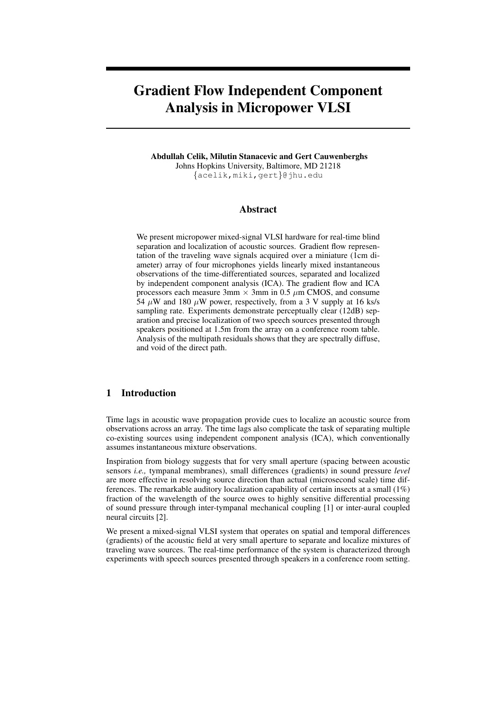# Gradient Flow Independent Component Analysis in Micropower VLSI

Abdullah Celik, Milutin Stanacevic and Gert Cauwenberghs Johns Hopkins University, Baltimore, MD 21218 {acelik,miki,gert}@jhu.edu

# Abstract

We present micropower mixed-signal VLSI hardware for real-time blind separation and localization of acoustic sources. Gradient flow representation of the traveling wave signals acquired over a miniature (1cm diameter) array of four microphones yields linearly mixed instantaneous observations of the time-differentiated sources, separated and localized by independent component analysis (ICA). The gradient flow and ICA processors each measure  $3 \text{mm} \times 3 \text{mm}$  in 0.5  $\mu$ m CMOS, and consume 54  $\mu$ W and 180  $\mu$ W power, respectively, from a 3 V supply at 16 ks/s sampling rate. Experiments demonstrate perceptually clear (12dB) separation and precise localization of two speech sources presented through speakers positioned at 1.5m from the array on a conference room table. Analysis of the multipath residuals shows that they are spectrally diffuse, and void of the direct path.

# 1 Introduction

Time lags in acoustic wave propagation provide cues to localize an acoustic source from observations across an array. The time lags also complicate the task of separating multiple co-existing sources using independent component analysis (ICA), which conventionally assumes instantaneous mixture observations.

Inspiration from biology suggests that for very small aperture (spacing between acoustic sensors *i.e.,* tympanal membranes), small differences (gradients) in sound pressure *level* are more effective in resolving source direction than actual (microsecond scale) time differences. The remarkable auditory localization capability of certain insects at a small  $(1\%)$ fraction of the wavelength of the source owes to highly sensitive differential processing of sound pressure through inter-tympanal mechanical coupling [1] or inter-aural coupled neural circuits [2].

We present a mixed-signal VLSI system that operates on spatial and temporal differences (gradients) of the acoustic field at very small aperture to separate and localize mixtures of traveling wave sources. The real-time performance of the system is characterized through experiments with speech sources presented through speakers in a conference room setting.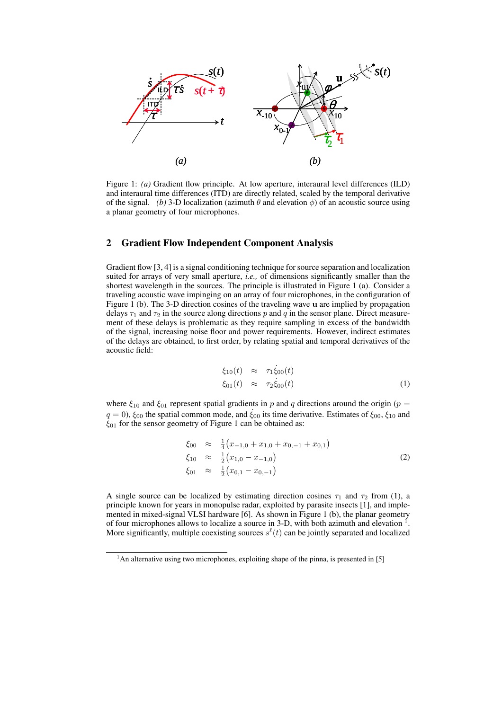

Figure 1: *(a)* Gradient flow principle. At low aperture, interaural level differences (ILD) and interaural time differences (ITD) are directly related, scaled by the temporal derivative of the signal. *(b)* 3-D localization (azimuth  $\theta$  and elevation  $\phi$ ) of an acoustic source using a planar geometry of four microphones.

## 2 Gradient Flow Independent Component Analysis

Gradient flow [3, 4] is a signal conditioning technique for source separation and localization suited for arrays of very small aperture, *i.e.,* of dimensions significantly smaller than the shortest wavelength in the sources. The principle is illustrated in Figure 1 (a). Consider a traveling acoustic wave impinging on an array of four microphones, in the configuration of Figure 1 (b). The 3-D direction cosines of the traveling wave u are implied by propagation delays  $\tau_1$  and  $\tau_2$  in the source along directions p and q in the sensor plane. Direct measurement of these delays is problematic as they require sampling in excess of the bandwidth of the signal, increasing noise floor and power requirements. However, indirect estimates of the delays are obtained, to first order, by relating spatial and temporal derivatives of the acoustic field:

$$
\xi_{10}(t) \approx \tau_1 \dot{\xi}_{00}(t) \n\xi_{01}(t) \approx \tau_2 \dot{\xi}_{00}(t)
$$
\n(1)

where  $\xi_{10}$  and  $\xi_{01}$  represent spatial gradients in p and q directions around the origin (p =  $q = 0$ ),  $\xi_{00}$  the spatial common mode, and  $\xi_{00}$  its time derivative. Estimates of  $\xi_{00}$ ,  $\xi_{10}$  and  $\xi_{01}$  for the sensor geometry of Figure 1 can be obtained as:

$$
\begin{array}{rcl}\n\xi_{00} & \approx & \frac{1}{4} \big( x_{-1,0} + x_{1,0} + x_{0,-1} + x_{0,1} \big) \\
\xi_{10} & \approx & \frac{1}{2} \big( x_{1,0} - x_{-1,0} \big) \\
\xi_{01} & \approx & \frac{1}{2} \big( x_{0,1} - x_{0,-1} \big)\n\end{array} \tag{2}
$$

A single source can be localized by estimating direction cosines  $\tau_1$  and  $\tau_2$  from (1), a principle known for years in monopulse radar, exploited by parasite insects [1], and implemented in mixed-signal VLSI hardware [6]. As shown in Figure 1 (b), the planar geometry of four microphones allows to localize a source in 3-D, with both azimuth and elevation  $\frac{1}{1}$ . More significantly, multiple coexisting sources  $s^{\ell}(t)$  can be jointly separated and localized

 $1$ An alternative using two microphones, exploiting shape of the pinna, is presented in [5]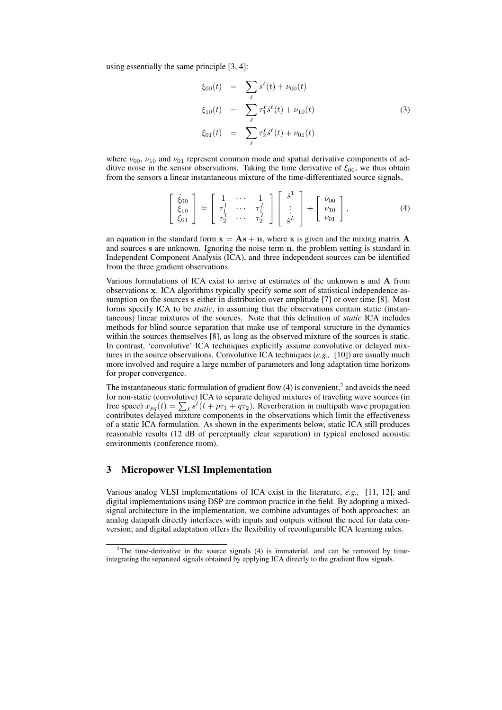using essentially the same principle [3, 4]:

$$
\xi_{00}(t) = \sum_{\ell} s^{\ell}(t) + \nu_{00}(t)
$$
\n
$$
\xi_{10}(t) = \sum_{\ell} \tau_1^{\ell} \dot{s}^{\ell}(t) + \nu_{10}(t)
$$
\n
$$
\xi_{01}(t) = \sum_{\ell} \tau_2^{\ell} \dot{s}^{\ell}(t) + \nu_{01}(t)
$$
\n(3)

where  $\nu_{00}$ ,  $\nu_{10}$  and  $\nu_{01}$  represent common mode and spatial derivative components of additive noise in the sensor observations. Taking the time derivative of  $\xi_{00}$ , we thus obtain from the sensors a linear instantaneous mixture of the time-differentiated source signals,

$$
\begin{bmatrix}\n\dot{\xi}_{00} \\
\xi_{10} \\
\xi_{01}\n\end{bmatrix}\n\approx\n\begin{bmatrix}\n1 & \cdots & 1 \\
\tau_1^1 & \cdots & \tau_1^L \\
\tau_2^1 & \cdots & \tau_2^L\n\end{bmatrix}\n\begin{bmatrix}\n\dot{s}^1 \\
\vdots \\
\dot{s}^L\n\end{bmatrix}\n+\n\begin{bmatrix}\n\dot{\nu}_{00} \\
\nu_{10} \\
\nu_{01}\n\end{bmatrix},
$$
\n(4)

an equation in the standard form  $x = As + n$ , where x is given and the mixing matrix A and sources s are unknown. Ignoring the noise term n, the problem setting is standard in Independent Component Analysis (ICA), and three independent sources can be identified from the three gradient observations.

Various formulations of ICA exist to arrive at estimates of the unknown s and A from observations x. ICA algorithms typically specify some sort of statistical independence assumption on the sources s either in distribution over amplitude [7] or over time [8]. Most forms specify ICA to be *static*, in assuming that the observations contain static (instantaneous) linear mixtures of the sources. Note that this definition of *static* ICA includes methods for blind source separation that make use of temporal structure in the dynamics within the sources themselves [8], as long as the observed mixture of the sources is static. In contrast, 'convolutive' ICA techniques explicitly assume convolutive or delayed mixtures in the source observations. Convolutive ICA techniques (*e.g.,* [10]) are usually much more involved and require a large number of parameters and long adaptation time horizons for proper convergence.

The instantaneous static formulation of gradient flow  $(4)$  is convenient,<sup>2</sup> and avoids the need for non-static (convolutive) ICA to separate delayed mixtures of traveling wave sources (in for non-static (convolutive) ICA to separate delayed mixtures of traveling wave sources (in free space)  $x_{pq}(t) = \sum_{\ell} s^{\ell}(t + p\tau_1 + q\tau_2)$ . Reverberation in multipath wave propagation contributes delayed mixture components in the observations which limit the effectiveness of a static ICA formulation. As shown in the experiments below, static ICA still produces reasonable results (12 dB of perceptually clear separation) in typical enclosed acoustic environments (conference room).

# 3 Micropower VLSI Implementation

Various analog VLSI implementations of ICA exist in the literature, *e.g.,* [11, 12], and digital implementations using DSP are common practice in the field. By adopting a mixedsignal architecture in the implementation, we combine advantages of both approaches: an analog datapath directly interfaces with inputs and outputs without the need for data conversion; and digital adaptation offers the flexibility of reconfigurable ICA learning rules.

 $2$ The time-derivative in the source signals (4) is immaterial, and can be removed by timeintegrating the separated signals obtained by applying ICA directly to the gradient flow signals.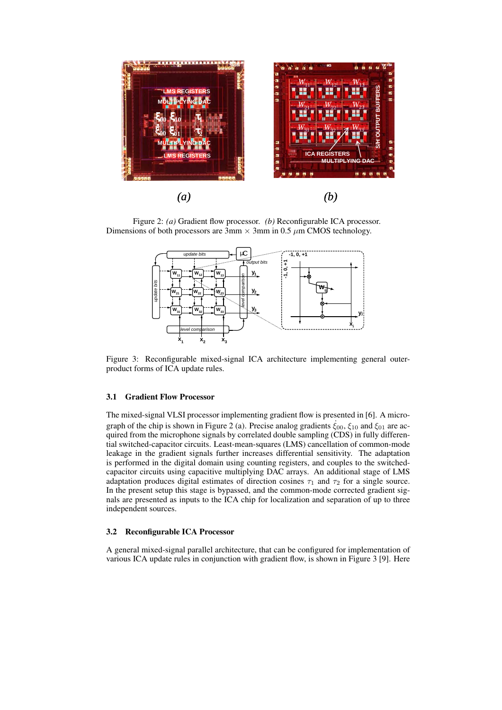

Figure 2: *(a)* Gradient flow processor. *(b)* Reconfigurable ICA processor. Dimensions of both processors are  $\overline{3}$ mm  $\times$  3mm in 0.5  $\mu$ m CMOS technology.



Figure 3: Reconfigurable mixed-signal ICA architecture implementing general outerproduct forms of ICA update rules.

## 3.1 Gradient Flow Processor

The mixed-signal VLSI processor implementing gradient flow is presented in [6]. A micrograph of the chip is shown in Figure 2 (a). Precise analog gradients  $\xi_{00}$ ,  $\xi_{10}$  and  $\xi_{01}$  are acquired from the microphone signals by correlated double sampling (CDS) in fully differential switched-capacitor circuits. Least-mean-squares (LMS) cancellation of common-mode leakage in the gradient signals further increases differential sensitivity. The adaptation is performed in the digital domain using counting registers, and couples to the switchedcapacitor circuits using capacitive multiplying DAC arrays. An additional stage of LMS adaptation produces digital estimates of direction cosines  $\tau_1$  and  $\tau_2$  for a single source. In the present setup this stage is bypassed, and the common-mode corrected gradient signals are presented as inputs to the ICA chip for localization and separation of up to three independent sources.

#### 3.2 Reconfigurable ICA Processor

A general mixed-signal parallel architecture, that can be configured for implementation of various ICA update rules in conjunction with gradient flow, is shown in Figure 3 [9]. Here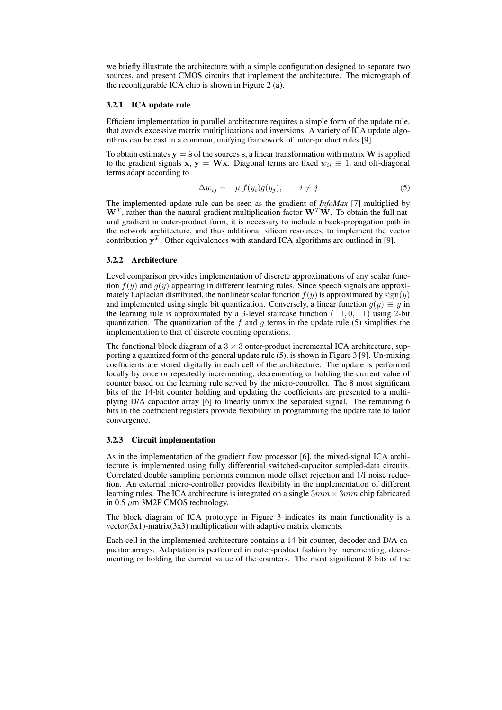we briefly illustrate the architecture with a simple configuration designed to separate two sources, and present CMOS circuits that implement the architecture. The micrograph of the reconfigurable ICA chip is shown in Figure 2 (a).

#### 3.2.1 ICA update rule

Efficient implementation in parallel architecture requires a simple form of the update rule, that avoids excessive matrix multiplications and inversions. A variety of ICA update algorithms can be cast in a common, unifying framework of outer-product rules [9].

To obtain estimates  $y = \hat{s}$  of the sources s, a linear transformation with matrix W is applied to the gradient signals x, y = Wx. Diagonal terms are fixed  $w_{ii} \equiv 1$ , and off-diagonal terms adapt according to

$$
\Delta w_{ij} = -\mu \ f(y_i)g(y_j), \qquad i \neq j \tag{5}
$$

The implemented update rule can be seen as the gradient of *InfoMax* [7] multiplied by  $W<sup>T</sup>$ , rather than the natural gradient multiplication factor  $W<sup>T</sup>W$ . To obtain the full natural gradient in outer-product form, it is necessary to include a back-propagation path in the network architecture, and thus additional silicon resources, to implement the vector contribution  $y^T$ . Other equivalences with standard ICA algorithms are outlined in [9].

#### 3.2.2 Architecture

Level comparison provides implementation of discrete approximations of any scalar function  $f(y)$  and  $g(y)$  appearing in different learning rules. Since speech signals are approximately Laplacian distributed, the nonlinear scalar function  $f(y)$  is approximated by  $sign(y)$ and implemented using single bit quantization. Conversely, a linear function  $g(y) \equiv y$  in the learning rule is approximated by a 3-level staircase function  $(-1, 0, +1)$  using 2-bit quantization. The quantization of the f and g terms in the update rule (5) simplifies the implementation to that of discrete counting operations.

The functional block diagram of a  $3 \times 3$  outer-product incremental ICA architecture, supporting a quantized form of the general update rule (5), is shown in Figure 3 [9]. Un-mixing coefficients are stored digitally in each cell of the architecture. The update is performed locally by once or repeatedly incrementing, decrementing or holding the current value of counter based on the learning rule served by the micro-controller. The 8 most significant bits of the 14-bit counter holding and updating the coefficients are presented to a multiplying D/A capacitor array [6] to linearly unmix the separated signal. The remaining 6 bits in the coefficient registers provide flexibility in programming the update rate to tailor convergence.

## 3.2.3 Circuit implementation

As in the implementation of the gradient flow processor [6], the mixed-signal ICA architecture is implemented using fully differential switched-capacitor sampled-data circuits. Correlated double sampling performs common mode offset rejection and 1/f noise reduction. An external micro-controller provides flexibility in the implementation of different learning rules. The ICA architecture is integrated on a single  $3mm \times 3mm$  chip fabricated in 0.5  $\mu$ m 3M2P CMOS technology.

The block diagram of ICA prototype in Figure 3 indicates its main functionality is a  $vector(3x1)$ -matrix(3x3) multiplication with adaptive matrix elements.

Each cell in the implemented architecture contains a 14-bit counter, decoder and D/A capacitor arrays. Adaptation is performed in outer-product fashion by incrementing, decrementing or holding the current value of the counters. The most significant 8 bits of the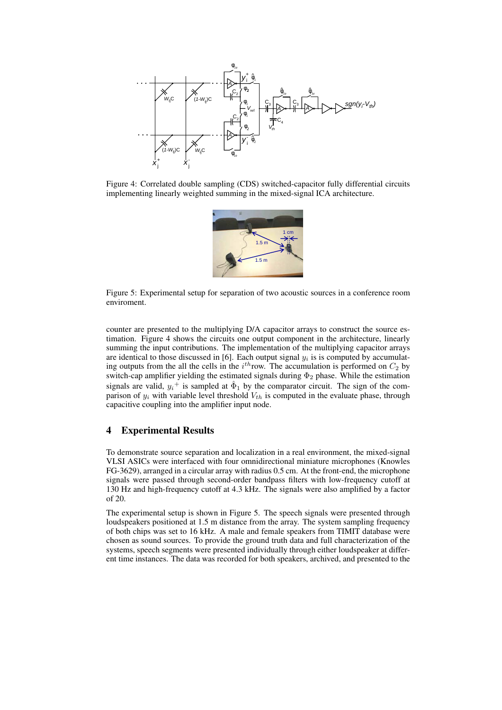

Figure 4: Correlated double sampling (CDS) switched-capacitor fully differential circuits implementing linearly weighted summing in the mixed-signal ICA architecture.



Figure 5: Experimental setup for separation of two acoustic sources in a conference room enviroment.

counter are presented to the multiplying D/A capacitor arrays to construct the source estimation. Figure 4 shows the circuits one output component in the architecture, linearly summing the input contributions. The implementation of the multiplying capacitor arrays are identical to those discussed in [6]. Each output signal  $y_i$  is is computed by accumulating outputs from the all the cells in the  $i^{th}$ row. The accumulation is performed on  $C_2$  by switch-cap amplifier yielding the estimated signals during  $\Phi_2$  phase. While the estimation signals are valid,  $y_i^+$  is sampled at  $\hat{\Phi}_1$  by the comparator circuit. The sign of the comparison of  $y_i$  with variable level threshold  $V_{th}$  is computed in the evaluate phase, through capacitive coupling into the amplifier input node.

## 4 Experimental Results

To demonstrate source separation and localization in a real environment, the mixed-signal VLSI ASICs were interfaced with four omnidirectional miniature microphones (Knowles FG-3629), arranged in a circular array with radius 0.5 cm. At the front-end, the microphone signals were passed through second-order bandpass filters with low-frequency cutoff at 130 Hz and high-frequency cutoff at 4.3 kHz. The signals were also amplified by a factor of 20.

The experimental setup is shown in Figure 5. The speech signals were presented through loudspeakers positioned at 1.5 m distance from the array. The system sampling frequency of both chips was set to 16 kHz. A male and female speakers from TIMIT database were chosen as sound sources. To provide the ground truth data and full characterization of the systems, speech segments were presented individually through either loudspeaker at different time instances. The data was recorded for both speakers, archived, and presented to the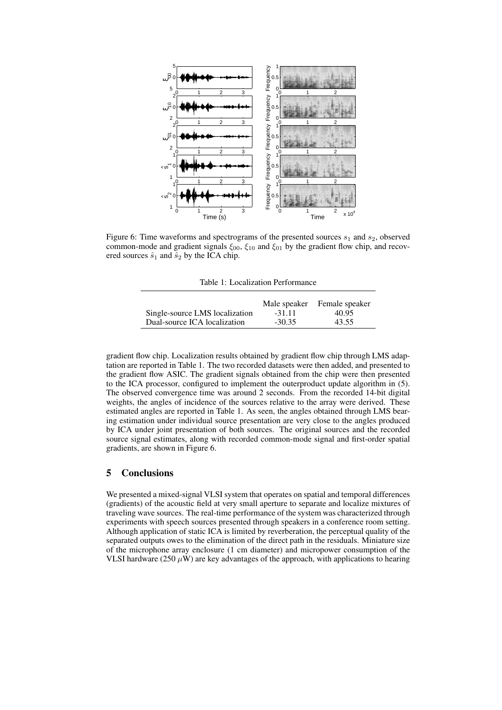

Figure 6: Time waveforms and spectrograms of the presented sources  $s_1$  and  $s_2$ , observed common-mode and gradient signals  $\xi_{00}$ ,  $\xi_{10}$  and  $\xi_{01}$  by the gradient flow chip, and recovered sources  $\hat{s}_1$  and  $\hat{s}_2$  by the ICA chip.

Table 1: Localization Performance

|                                | Male speaker | Female speaker |
|--------------------------------|--------------|----------------|
| Single-source LMS localization | $-31.11$     | 40.95          |
| Dual-source ICA localization   | $-30.35$     | 43.55          |

gradient flow chip. Localization results obtained by gradient flow chip through LMS adaptation are reported in Table 1. The two recorded datasets were then added, and presented to the gradient flow ASIC. The gradient signals obtained from the chip were then presented to the ICA processor, configured to implement the outerproduct update algorithm in (5). The observed convergence time was around 2 seconds. From the recorded 14-bit digital weights, the angles of incidence of the sources relative to the array were derived. These estimated angles are reported in Table 1. As seen, the angles obtained through LMS bearing estimation under individual source presentation are very close to the angles produced by ICA under joint presentation of both sources. The original sources and the recorded source signal estimates, along with recorded common-mode signal and first-order spatial gradients, are shown in Figure 6.

# 5 Conclusions

We presented a mixed-signal VLSI system that operates on spatial and temporal differences (gradients) of the acoustic field at very small aperture to separate and localize mixtures of traveling wave sources. The real-time performance of the system was characterized through experiments with speech sources presented through speakers in a conference room setting. Although application of static ICA is limited by reverberation, the perceptual quality of the separated outputs owes to the elimination of the direct path in the residuals. Miniature size of the microphone array enclosure (1 cm diameter) and micropower consumption of the VLSI hardware (250  $\mu$ W) are key advantages of the approach, with applications to hearing